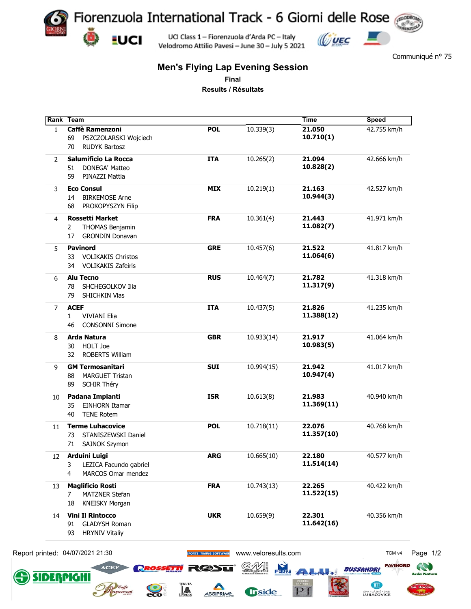

Velodromo Attilio Pavesi - June 30 - July 5 2021

Communiqué n° 75

## **Men's Flying Lap Evening Session**

**Final**

**Results / Résultats**

|              | Rank Team                        |                        |                     | <b>Time</b>          | <b>Speed</b>      |
|--------------|----------------------------------|------------------------|---------------------|----------------------|-------------------|
| $\mathbf{1}$ | <b>Caffè Ramenzoni</b>           | <b>POL</b>             | 10.339(3)           | 21.050               | 42.755 km/h       |
|              | PSZCZOLARSKI Wojciech<br>69      |                        |                     | 10.710(1)            |                   |
|              | <b>RUDYK Bartosz</b><br>70       |                        |                     |                      |                   |
| 2            | <b>Salumificio La Rocca</b>      | <b>ITA</b>             | 10.265(2)           | 21.094               | 42.666 km/h       |
|              | DONEGA' Matteo<br>51             |                        |                     | 10.828(2)            |                   |
|              | PINAZZI Mattia<br>59             |                        |                     |                      |                   |
|              | <b>Eco Consul</b>                | <b>MIX</b>             | 10.219(1)           | 21.163               | 42.527 km/h       |
| 3            | <b>BIRKEMOSE Arne</b>            |                        |                     | 10.944(3)            |                   |
|              | 14                               |                        |                     |                      |                   |
|              | 68<br>PROKOPYSZYN Filip          |                        |                     |                      |                   |
| 4            | <b>Rossetti Market</b>           | <b>FRA</b>             | 10.361(4)           | 21.443               | 41.971 km/h       |
|              | THOMAS Benjamin<br>2             |                        |                     | 11.082(7)            |                   |
|              | <b>GRONDIN Donavan</b><br>17     |                        |                     |                      |                   |
| 5            | <b>Pavinord</b>                  | <b>GRE</b>             | 10.457(6)           | 21.522               | 41.817 km/h       |
|              | <b>VOLIKAKIS Christos</b><br>33  |                        |                     | 11.064(6)            |                   |
|              | <b>VOLIKAKIS Zafeiris</b><br>34  |                        |                     |                      |                   |
|              |                                  |                        |                     |                      |                   |
| 6            | <b>Alu Tecno</b>                 | <b>RUS</b>             | 10.464(7)           | 21.782               | 41.318 km/h       |
|              | SHCHEGOLKOV Ilia<br>78           |                        |                     | 11.317(9)            |                   |
|              | SHICHKIN Vlas<br>79              |                        |                     |                      |                   |
| 7            | <b>ACEF</b>                      | <b>ITA</b>             | 10.437(5)           | 21.826               | 41.235 km/h       |
|              | <b>VIVIANI Elia</b><br>1         |                        |                     | 11.388(12)           |                   |
|              | <b>CONSONNI Simone</b><br>46     |                        |                     |                      |                   |
|              | Arda Natura                      | <b>GBR</b>             | 10.933(14)          | 21.917               | 41.064 km/h       |
| 8            |                                  |                        |                     | 10.983(5)            |                   |
|              | HOLT Joe<br>30                   |                        |                     |                      |                   |
|              | <b>ROBERTS William</b><br>32     |                        |                     |                      |                   |
| 9            | <b>GM Termosanitari</b>          | <b>SUI</b>             | 10.994(15)          | 21.942               | 41.017 km/h       |
|              | <b>MARGUET Tristan</b><br>88     |                        |                     | 10.947(4)            |                   |
|              | <b>SCHIR Théry</b><br>89         |                        |                     |                      |                   |
| 10           | Padana Impianti                  | <b>ISR</b>             | 10.613(8)           | 21.983               | 40.940 km/h       |
|              | <b>EINHORN Itamar</b><br>35      |                        |                     | 11.369(11)           |                   |
|              | <b>TENE Rotem</b><br>40          |                        |                     |                      |                   |
|              | <b>Terme Luhacovice</b>          |                        |                     |                      |                   |
| 11           |                                  | <b>POL</b>             | 10.718(11)          | 22.076<br>11.357(10) | 40.768 km/h       |
|              | STANISZEWSKI Daniel<br>73        |                        |                     |                      |                   |
|              | SAJNOK Szymon<br>71              |                        |                     |                      |                   |
| 12           | Arduini Luigi                    | <b>ARG</b>             | 10.665(10)          | 22.180               | 40.577 km/h       |
|              | LEZICA Facundo gabriel<br>3      |                        |                     | 11.514(14)           |                   |
|              | MARCOS Omar mendez<br>4          |                        |                     |                      |                   |
| 13           | <b>Maglificio Rosti</b>          | <b>FRA</b>             | 10.743(13)          | 22.265               | 40.422 km/h       |
|              | MATZNER Stefan<br>7              |                        |                     | 11.522(15)           |                   |
|              | <b>KNEISKY Morgan</b><br>18      |                        |                     |                      |                   |
|              |                                  |                        |                     |                      |                   |
| 14           | <b>Vini Il Rintocco</b>          | <b>UKR</b>             | 10.659(9)           | 22.301               | 40.356 km/h       |
|              | <b>GLADYSH Roman</b><br>91       |                        |                     | 11.642(16)           |                   |
|              | <b>HRYNIV Vitaliy</b><br>93      |                        |                     |                      |                   |
|              | Report printed: 04/07/2021 21:30 |                        |                     |                      |                   |
|              |                                  | SPORTS TIMING SOFTWARE | www.veloresults.com |                      | TCM <sub>v4</sub> |

∦A

ASSIPRIME

**Trside** 

 $PI$ 

**SIDERPIGH** 

 $\sum_{\mathbf{c}}$ 

Ш

SPA - LÁZNĚ - BAD<br>LUHAČOVICE